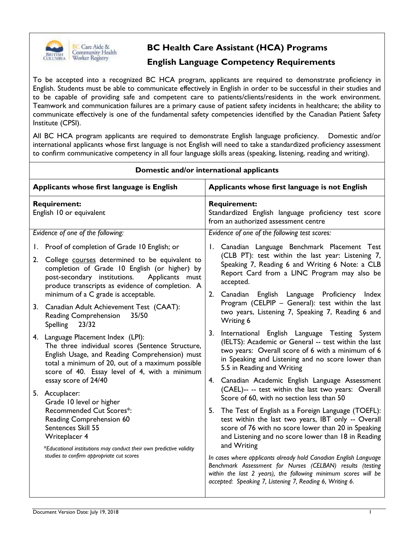

# **BC Health Care Assistant (HCA) Programs**

### **English Language Competency Requirements**

To be accepted into a recognized BC HCA program, applicants are required to demonstrate proficiency in English. Students must be able to communicate effectively in English in order to be successful in their studies and to be capable of providing safe and competent care to patients/clients/residents in the work environment. Teamwork and communication failures are a primary cause of patient safety incidents in healthcare; the ability to communicate effectively is one of the fundamental safety competencies identified by the Canadian Patient Safety Institute (CPSI).

All BC HCA program applicants are required to demonstrate English language proficiency. Domestic and/or international applicants whose first language is not English will need to take a standardized proficiency assessment to confirm communicative competency in all four language skills areas (speaking, listening, reading and writing).

| Domestic and/or international applicants        |                                                                                                                                                                                                                                                                                       |                                                                                                                     |                                                                                                                                                                                                                                                             |  |  |  |
|-------------------------------------------------|---------------------------------------------------------------------------------------------------------------------------------------------------------------------------------------------------------------------------------------------------------------------------------------|---------------------------------------------------------------------------------------------------------------------|-------------------------------------------------------------------------------------------------------------------------------------------------------------------------------------------------------------------------------------------------------------|--|--|--|
| Applicants whose first language is English      |                                                                                                                                                                                                                                                                                       |                                                                                                                     | Applicants whose first language is not English                                                                                                                                                                                                              |  |  |  |
| <b>Requirement:</b><br>English 10 or equivalent |                                                                                                                                                                                                                                                                                       | <b>Requirement:</b><br>Standardized English language proficiency test score<br>from an authorized assessment centre |                                                                                                                                                                                                                                                             |  |  |  |
| Evidence of one of the following:               |                                                                                                                                                                                                                                                                                       | Evidence of one of the following test scores:                                                                       |                                                                                                                                                                                                                                                             |  |  |  |
| 2.                                              | 1. Proof of completion of Grade 10 English; or<br>College courses determined to be equivalent to<br>completion of Grade 10 English (or higher) by<br>post-secondary institutions.<br>Applicants must<br>produce transcripts as evidence of completion. A                              |                                                                                                                     | 1. Canadian Language Benchmark Placement Test<br>(CLB PT): test within the last year: Listening 7,<br>Speaking 7, Reading 6 and Writing 6 Note: a CLB<br>Report Card from a LINC Program may also be<br>accepted.                                           |  |  |  |
|                                                 | minimum of a C grade is acceptable.<br>3. Canadian Adult Achievement Test (CAAT):<br>Reading Comprehension<br>35/50<br>23/32<br><b>Spelling</b>                                                                                                                                       |                                                                                                                     | 2. Canadian English Language Proficiency Index<br>Program (CELPIP - General): test within the last<br>two years, Listening 7, Speaking 7, Reading 6 and<br>Writing 6                                                                                        |  |  |  |
|                                                 | 4. Language Placement Index (LPI):<br>The three individual scores (Sentence Structure,<br>English Usage, and Reading Comprehension) must<br>total a minimum of 20, out of a maximum possible<br>score of 40. Essay level of 4, with a minimum                                         | 3.                                                                                                                  | International English Language Testing System<br>(IELTS): Academic or General -- test within the last<br>two years: Overall score of 6 with a minimum of 6<br>in Speaking and Listening and no score lower than<br>5.5 in Reading and Writing               |  |  |  |
|                                                 | essay score of 24/40<br>5. Accuplacer:<br>Grade 10 level or higher<br>Recommended Cut Scores*:<br>Reading Comprehension 60<br>Sentences Skill 55<br>Writeplacer 4<br>*Educational institutions may conduct their own predictive validity<br>studies to confirm appropriate cut scores |                                                                                                                     | 4. Canadian Academic English Language Assessment<br>(CAEL)-- -- test within the last two years: Overall<br>Score of 60, with no section less than 50                                                                                                        |  |  |  |
|                                                 |                                                                                                                                                                                                                                                                                       | 5.                                                                                                                  | The Test of English as a Foreign Language (TOEFL):<br>test within the last two years, IBT only -- Overall<br>score of 76 with no score lower than 20 in Speaking<br>and Listening and no score lower than 18 in Reading<br>and Writing                      |  |  |  |
|                                                 |                                                                                                                                                                                                                                                                                       |                                                                                                                     | In cases where applicants already hold Canadian English Language<br>Benchmark Assessment for Nurses (CELBAN) results (testing<br>within the last 2 years), the following minimum scores will be<br>accepted: Speaking 7, Listening 7, Reading 6, Writing 6. |  |  |  |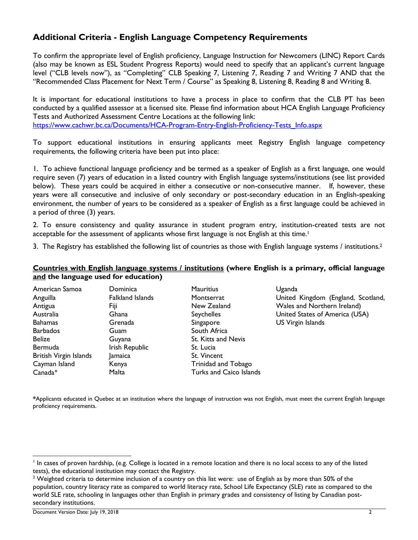## **Additional Criteria - English Language Competency Requirements**

To confirm the appropriate level of English proficiency, Language Instruction for Newcomers (LINC) Report Cards (also may be known as ESL Student Progress Reports) would need to specify that an applicant's current language level ("CLB levels now"), as "Completing" CLB Speaking 7, Listening 7, Reading 7 and Writing 7 AND that the "Recommended Class Placement for Next Term / Course" as Speaking 8, Listening 8, Reading 8 and Writing 8.

It is important for educational institutions to have a process in place to confirm that the CLB PT has been conducted by a qualified assessor at a licensed site. Please find information about HCA English Language Proficiency Tests and Authorized Assessment Centre Locations at the following link: [https://www.cachwr.bc.ca/Documents/HCA-Program-Entry-English-Proficiency-Tests\\_Info.aspx](https://www.cachwr.bc.ca/Documents/HCA-Program-Entry-English-Proficiency-Tests_Info.aspx)

To support educational institutions in ensuring applicants meet Registry English language competency requirements, the following criteria have been put into place:

1. To achieve functional language proficiency and be termed as a speaker of English as a first language, one would require seven (7) years of education in a listed country with English language systems/institutions (see list provided below). These years could be acquired in either a consecutive or non-consecutive manner. If, however, these years were all consecutive and inclusive of only secondary or post-secondary education in an English-speaking environment, the number of years to be considered as a speaker of English as a first language could be achieved in a period of three (3) years.

2. To ensure consistency and quality assurance in student program entry, institution-created tests are not acceptable for the assessment of applicants whose first language is not English at this time.<sup>1</sup>

3. The Registry has established the following list of countries as those with English language systems / institutions.<sup>2</sup>

#### **Countries with English language systems / institutions (where English is a primary, official language and the language used for education)**

| American Samoa         | Dominica         | <b>Mauritius</b>               | Uganda                             |
|------------------------|------------------|--------------------------------|------------------------------------|
| Anguilla               | Falkland Islands | Montserrat                     | United Kingdom (England, Scotland, |
| Antigua                | Fiji             | New Zealand                    | Wales and Northern Ireland)        |
| Australia              | Ghana            | <b>Seychelles</b>              | United States of America (USA)     |
| Bahamas                | Grenada          | Singapore                      | US Virgin Islands                  |
| <b>Barbados</b>        | Guam             | South Africa                   |                                    |
| <b>Belize</b>          | Guyana           | St. Kitts and Nevis            |                                    |
| Bermuda                | Irish Republic   | St. Lucia                      |                                    |
| British Virgin Islands | Jamaica          | St. Vincent                    |                                    |
| Cayman Island          | Kenya            | Trinidad and Tobago            |                                    |
| $Canada*$              | Malta            | <b>Turks and Caico Islands</b> |                                    |

**\***Applicants educated in Quebec at an institution where the language of instruction was not English, must meet the current English language proficiency requirements.

 $\overline{a}$ 

<sup>&</sup>lt;sup>1</sup> In cases of proven hardship, (e.g. College is located in a remote location and there is no local access to any of the listed tests), the educational institution may contact the Registry.

<sup>&</sup>lt;sup>2</sup> Weighted criteria to determine inclusion of a country on this list were: use of English as by more than 50% of the population, country literacy rate as compared to world literacy rate, School Life Expectancy (SLE) rate as compared to the world SLE rate, schooling in languages other than English in primary grades and consistency of listing by Canadian postsecondary institutions.